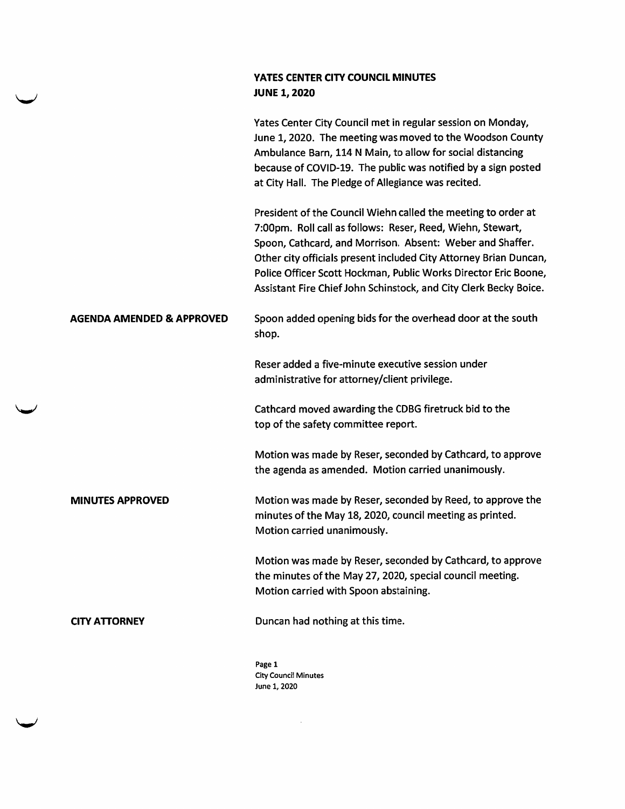## YATES CENTER CITY COUNCIL MINUTES JUNE 1, 2020

|                                      | Yates Center City Council met in regular session on Monday,<br>June 1, 2020. The meeting was moved to the Woodson County<br>Ambulance Barn, 114 N Main, to allow for social distancing<br>because of COVID-19. The public was notified by a sign posted<br>at City Hall. The Pledge of Allegiance was recited.                                                                                        |
|--------------------------------------|-------------------------------------------------------------------------------------------------------------------------------------------------------------------------------------------------------------------------------------------------------------------------------------------------------------------------------------------------------------------------------------------------------|
|                                      | President of the Council Wiehn called the meeting to order at<br>7:00pm. Roll call as follows: Reser, Reed, Wiehn, Stewart,<br>Spoon, Cathcard, and Morrison. Absent: Weber and Shaffer.<br>Other city officials present included City Attorney Brian Duncan,<br>Police Officer Scott Hockman, Public Works Director Eric Boone,<br>Assistant Fire Chief John Schinstock, and City Clerk Becky Boice. |
| <b>AGENDA AMENDED &amp; APPROVED</b> | Spoon added opening bids for the overhead door at the south<br>shop.                                                                                                                                                                                                                                                                                                                                  |
|                                      | Reser added a five-minute executive session under<br>administrative for attorney/client privilege.                                                                                                                                                                                                                                                                                                    |
|                                      | Cathcard moved awarding the CDBG firetruck bid to the<br>top of the safety committee report.                                                                                                                                                                                                                                                                                                          |
|                                      | Motion was made by Reser, seconded by Cathcard, to approve<br>the agenda as amended. Motion carried unanimously.                                                                                                                                                                                                                                                                                      |
| <b>MINUTES APPROVED</b>              | Motion was made by Reser, seconded by Reed, to approve the<br>minutes of the May 18, 2020, council meeting as printed.<br>Motion carried unanimously.                                                                                                                                                                                                                                                 |
|                                      | Motion was made by Reser, seconded by Cathcard, to approve<br>the minutes of the May 27, 2020, special council meeting.<br>Motion carried with Spoon abstaining.                                                                                                                                                                                                                                      |
| <b>CITY ATTORNEY</b>                 | Duncan had nothing at this time.                                                                                                                                                                                                                                                                                                                                                                      |
|                                      | Page 1                                                                                                                                                                                                                                                                                                                                                                                                |

Page 1 City Council Minutes June 1, 2020

 $\mathcal{L}^{\text{max}}_{\text{max}}$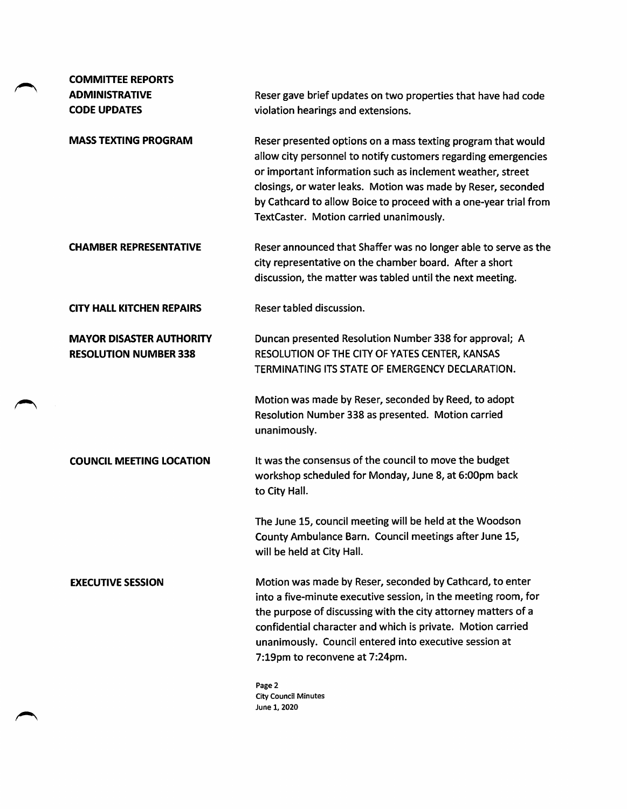| <b>COMMITTEE REPORTS</b>                                        |                                                                                                                                                                                                                                                                                                                                                                             |
|-----------------------------------------------------------------|-----------------------------------------------------------------------------------------------------------------------------------------------------------------------------------------------------------------------------------------------------------------------------------------------------------------------------------------------------------------------------|
| <b>ADMINISTRATIVE</b>                                           | Reser gave brief updates on two properties that have had code                                                                                                                                                                                                                                                                                                               |
| <b>CODE UPDATES</b>                                             | violation hearings and extensions.                                                                                                                                                                                                                                                                                                                                          |
| <b>MASS TEXTING PROGRAM</b>                                     | Reser presented options on a mass texting program that would<br>allow city personnel to notify customers regarding emergencies<br>or important information such as inclement weather, street<br>closings, or water leaks. Motion was made by Reser, seconded<br>by Cathcard to allow Boice to proceed with a one-year trial from<br>TextCaster. Motion carried unanimously. |
| <b>CHAMBER REPRESENTATIVE</b>                                   | Reser announced that Shaffer was no longer able to serve as the<br>city representative on the chamber board. After a short<br>discussion, the matter was tabled until the next meeting.                                                                                                                                                                                     |
| <b>CITY HALL KITCHEN REPAIRS</b>                                | Reser tabled discussion.                                                                                                                                                                                                                                                                                                                                                    |
| <b>MAYOR DISASTER AUTHORITY</b><br><b>RESOLUTION NUMBER 338</b> | Duncan presented Resolution Number 338 for approval; A<br>RESOLUTION OF THE CITY OF YATES CENTER, KANSAS<br>TERMINATING ITS STATE OF EMERGENCY DECLARATION.                                                                                                                                                                                                                 |
|                                                                 | Motion was made by Reser, seconded by Reed, to adopt<br>Resolution Number 338 as presented. Motion carried<br>unanimously.                                                                                                                                                                                                                                                  |
| <b>COUNCIL MEETING LOCATION</b>                                 | It was the consensus of the council to move the budget<br>workshop scheduled for Monday, June 8, at 6:00pm back<br>to City Hall.                                                                                                                                                                                                                                            |
|                                                                 | The June 15, council meeting will be held at the Woodson<br>County Ambulance Barn. Council meetings after June 15,<br>will be held at City Hall.                                                                                                                                                                                                                            |
| <b>EXECUTIVE SESSION</b>                                        | Motion was made by Reser, seconded by Cathcard, to enter<br>into a five-minute executive session, in the meeting room, for<br>the purpose of discussing with the city attorney matters of a<br>confidential character and which is private. Motion carried<br>unanimously. Council entered into executive session at<br>7:19pm to reconvene at 7:24pm.                      |
|                                                                 | Page 2<br><b>City Council Minutes</b>                                                                                                                                                                                                                                                                                                                                       |

June 1,2020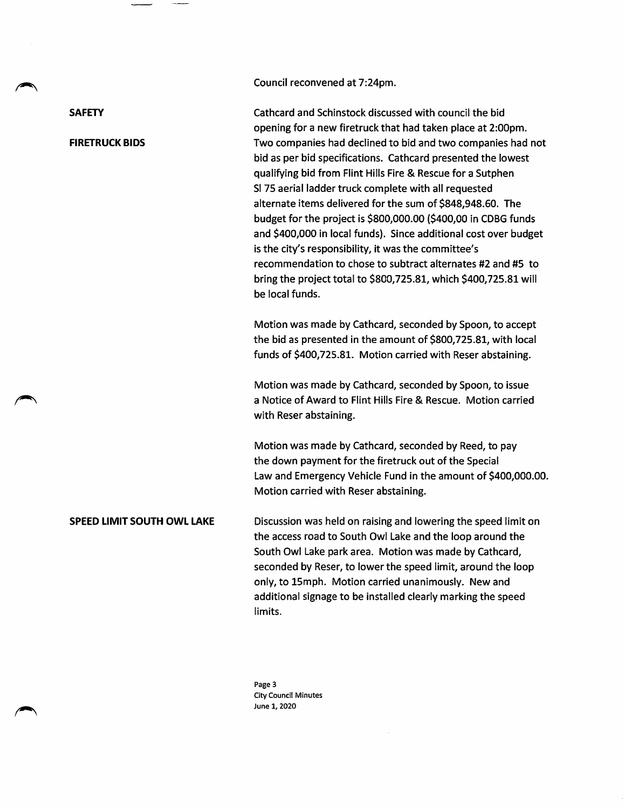Council reconvened at 7:24pm.

**SAFETY** 

## FIRETRUCK BIDS

Cathcard and Schinstock discussed with council the bid opening for a new firetruck that had taken place at 2:00pm. Two companies had declined to bid and two companies had not bid as per bid specifications. Cathcard presented the lowest qualifying bid from Flint Hills Fire & Rescue for a Sutphen SI 75 aerial ladder truck complete with all requested alternate items delivered for the sum of \$848,948.60. The budget for the project is \$800,000.00 (\$400,00 in CDBG funds and \$400,000 in local funds). Since additional cost over budget is the city's responsibility, it was the committee's recommendation to chose to subtract alternates #2 and #5 to bring the project total to \$800,725.81, which \$400,725.81 will be local funds.

Motion was made by Cathcard, seconded by Spoon, to accept the bid as presented in the amount of \$800,725.81, with local funds of \$400,725.81. Motion carried with Reser abstaining.

Motion was made by Cathcard, seconded by Spoon, to issue a Notice of Award to Flint Hills Fire & Rescue. Motion carried with Reser abstaining.

Motion was made by Cathcard, seconded by Reed, to pay the down payment for the firetruck out of the Special Law and Emergency Vehicle Fund in the amount of \$400,000.00. Motion carried with Reser abstaining.

SPEED LIMIT SOUTH OWL LAKE Discussion was held on raising and lowering the speed limit on the access road to South Owl Lake and the loop around the South Owl Lake park area. Motion was made by Cathcard, seconded by Reser, to lower the speed limit, around the loop only, to ISmph. Motion carried unanimously. New and additional signage to be installed clearly marking the speed limits.

> Page 3 City Council Minutes June 1,2020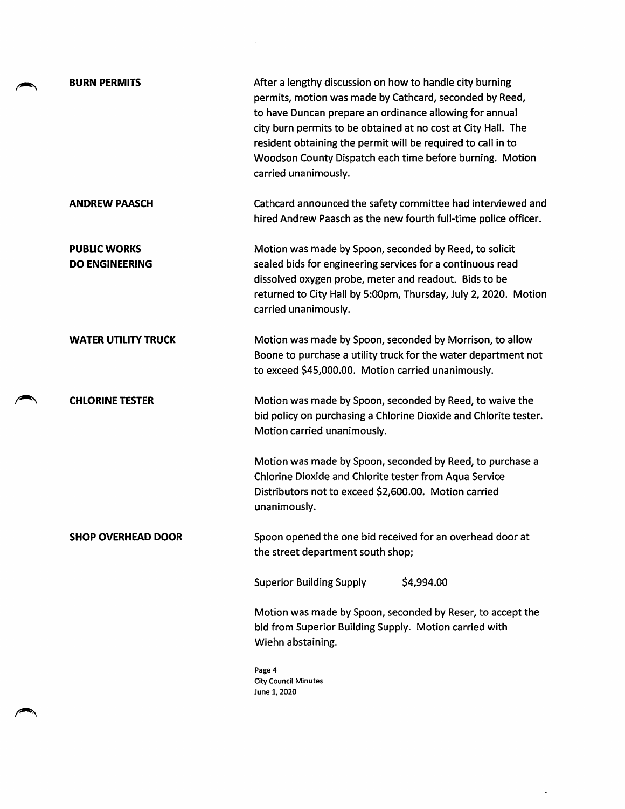| <b>BURN PERMITS</b>                          | After a lengthy discussion on how to handle city burning<br>permits, motion was made by Cathcard, seconded by Reed,<br>to have Duncan prepare an ordinance allowing for annual<br>city burn permits to be obtained at no cost at City Hall. The<br>resident obtaining the permit will be required to call in to<br>Woodson County Dispatch each time before burning. Motion<br>carried unanimously. |
|----------------------------------------------|-----------------------------------------------------------------------------------------------------------------------------------------------------------------------------------------------------------------------------------------------------------------------------------------------------------------------------------------------------------------------------------------------------|
| <b>ANDREW PAASCH</b>                         | Cathcard announced the safety committee had interviewed and<br>hired Andrew Paasch as the new fourth full-time police officer.                                                                                                                                                                                                                                                                      |
| <b>PUBLIC WORKS</b><br><b>DO ENGINEERING</b> | Motion was made by Spoon, seconded by Reed, to solicit<br>sealed bids for engineering services for a continuous read<br>dissolved oxygen probe, meter and readout. Bids to be<br>returned to City Hall by 5:00pm, Thursday, July 2, 2020. Motion<br>carried unanimously.                                                                                                                            |
| <b>WATER UTILITY TRUCK</b>                   | Motion was made by Spoon, seconded by Morrison, to allow<br>Boone to purchase a utility truck for the water department not<br>to exceed \$45,000.00. Motion carried unanimously.                                                                                                                                                                                                                    |
| <b>CHLORINE TESTER</b>                       | Motion was made by Spoon, seconded by Reed, to waive the<br>bid policy on purchasing a Chlorine Dioxide and Chlorite tester.<br>Motion carried unanimously.                                                                                                                                                                                                                                         |
|                                              | Motion was made by Spoon, seconded by Reed, to purchase a<br>Chlorine Dioxide and Chlorite tester from Aqua Service<br>Distributors not to exceed \$2,600.00. Motion carried<br>unanimously.                                                                                                                                                                                                        |
| <b>SHOP OVERHEAD DOOR</b>                    | Spoon opened the one bid received for an overhead door at<br>the street department south shop;                                                                                                                                                                                                                                                                                                      |
|                                              | <b>Superior Building Supply</b><br>\$4,994.00                                                                                                                                                                                                                                                                                                                                                       |
|                                              | Motion was made by Spoon, seconded by Reser, to accept the<br>bid from Superior Building Supply. Motion carried with<br>Wiehn abstaining.                                                                                                                                                                                                                                                           |
|                                              | Page 4<br><b>City Council Minutes</b><br>June 1, 2020                                                                                                                                                                                                                                                                                                                                               |

 $\sim 10^{11}$ 

 $\label{eq:2.1} \frac{1}{\sqrt{2}}\int_{\mathbb{R}^3}\frac{1}{\sqrt{2}}\left(\frac{1}{\sqrt{2}}\right)^2\frac{1}{\sqrt{2}}\left(\frac{1}{\sqrt{2}}\right)^2\frac{1}{\sqrt{2}}\left(\frac{1}{\sqrt{2}}\right)^2\frac{1}{\sqrt{2}}\left(\frac{1}{\sqrt{2}}\right)^2.$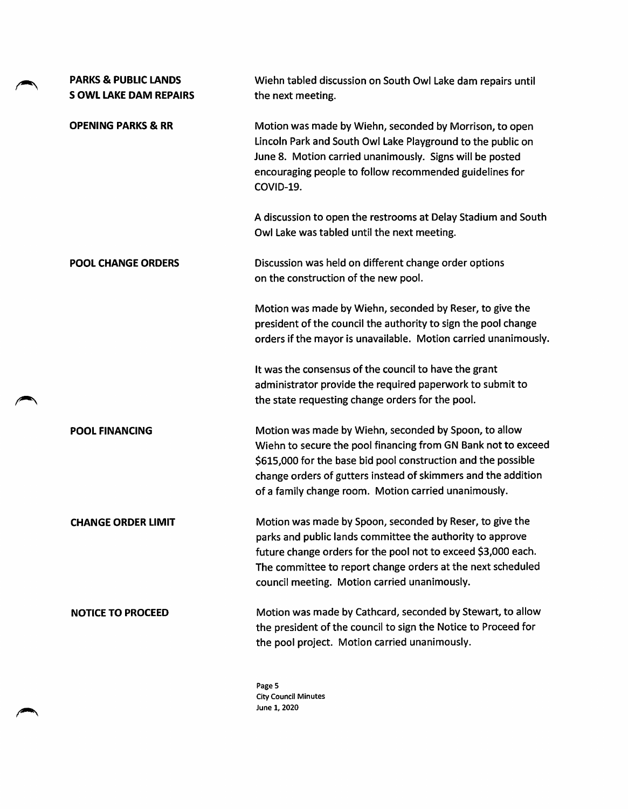| <b>PARKS &amp; PUBLIC LANDS</b><br><b>S OWL LAKE DAM REPAIRS</b> | Wiehn tabled discussion on South Owl Lake dam repairs until<br>the next meeting.                                                                                                                                                                                                                                 |
|------------------------------------------------------------------|------------------------------------------------------------------------------------------------------------------------------------------------------------------------------------------------------------------------------------------------------------------------------------------------------------------|
| <b>OPENING PARKS &amp; RR</b>                                    | Motion was made by Wiehn, seconded by Morrison, to open<br>Lincoln Park and South Owl Lake Playground to the public on<br>June 8. Motion carried unanimously. Signs will be posted<br>encouraging people to follow recommended guidelines for<br>COVID-19.                                                       |
|                                                                  | A discussion to open the restrooms at Delay Stadium and South<br>Owl Lake was tabled until the next meeting.                                                                                                                                                                                                     |
| <b>POOL CHANGE ORDERS</b>                                        | Discussion was held on different change order options<br>on the construction of the new pool.                                                                                                                                                                                                                    |
|                                                                  | Motion was made by Wiehn, seconded by Reser, to give the<br>president of the council the authority to sign the pool change<br>orders if the mayor is unavailable. Motion carried unanimously.                                                                                                                    |
|                                                                  | It was the consensus of the council to have the grant<br>administrator provide the required paperwork to submit to<br>the state requesting change orders for the pool.                                                                                                                                           |
| <b>POOL FINANCING</b>                                            | Motion was made by Wiehn, seconded by Spoon, to allow<br>Wiehn to secure the pool financing from GN Bank not to exceed<br>\$615,000 for the base bid pool construction and the possible<br>change orders of gutters instead of skimmers and the addition<br>of a family change room. Motion carried unanimously. |
| <b>CHANGE ORDER LIMIT</b>                                        | Motion was made by Spoon, seconded by Reser, to give the<br>parks and public lands committee the authority to approve<br>future change orders for the pool not to exceed \$3,000 each.<br>The committee to report change orders at the next scheduled<br>council meeting. Motion carried unanimously.            |
| <b>NOTICE TO PROCEED</b>                                         | Motion was made by Cathcard, seconded by Stewart, to allow<br>the president of the council to sign the Notice to Proceed for<br>the pool project. Motion carried unanimously.                                                                                                                                    |
|                                                                  | Page 5<br>City Council Minutes                                                                                                                                                                                                                                                                                   |

City Council Minutes June 1,2020